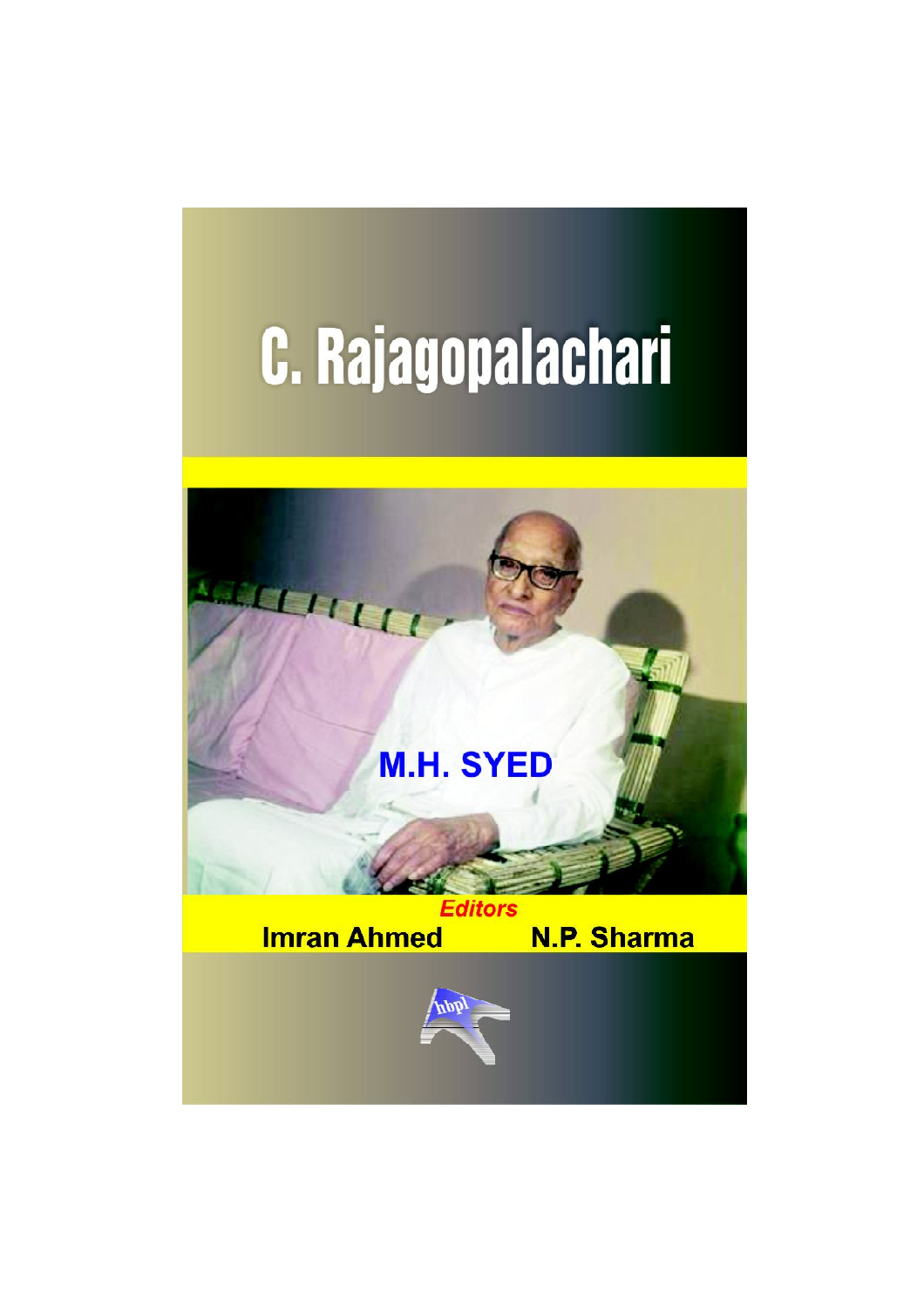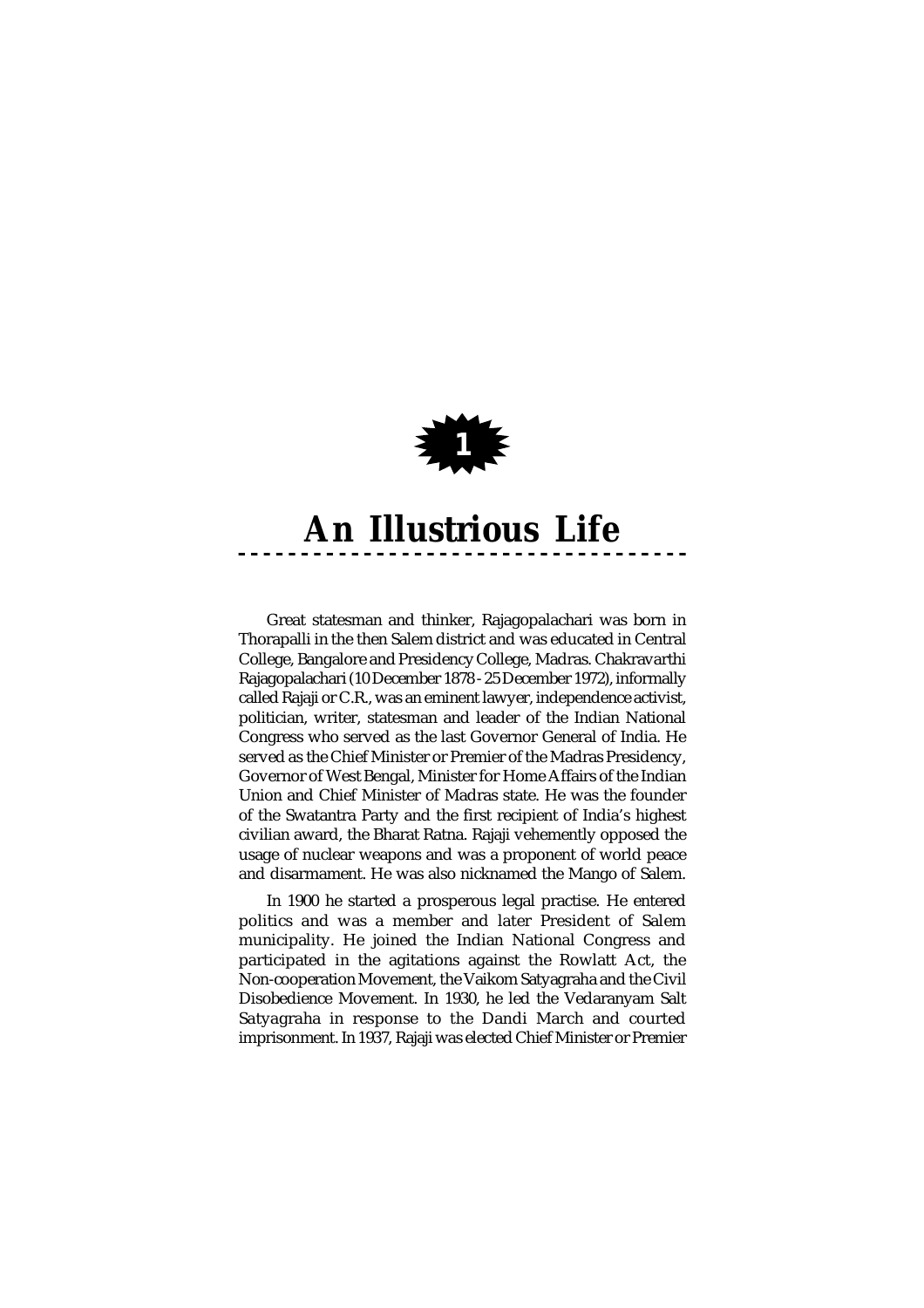

Great statesman and thinker, Rajagopalachari was born in Thorapalli in the then Salem district and was educated in Central College, Bangalore and Presidency College, Madras. Chakravarthi Rajagopalachari (10 December 1878 - 25 December 1972), informally called Rajaji or C.R., was an eminent lawyer, independence activist, politician, writer, statesman and leader of the Indian National Congress who served as the last Governor General of India. He served as the Chief Minister or Premier of the Madras Presidency, Governor of West Bengal, Minister for Home Affairs of the Indian Union and Chief Minister of Madras state. He was the founder of the Swatantra Party and the first recipient of India's highest civilian award, the Bharat Ratna. Rajaji vehemently opposed the usage of nuclear weapons and was a proponent of world peace and disarmament. He was also nicknamed the Mango of Salem.

In 1900 he started a prosperous legal practise. He entered politics and was a member and later President of Salem municipality. He joined the Indian National Congress and participated in the agitations against the Rowlatt Act, the Non-cooperation Movement, the Vaikom Satyagraha and the Civil Disobedience Movement. In 1930, he led the Vedaranyam Salt Satyagraha in response to the Dandi March and courted imprisonment. In 1937, Rajaji was elected Chief Minister or Premier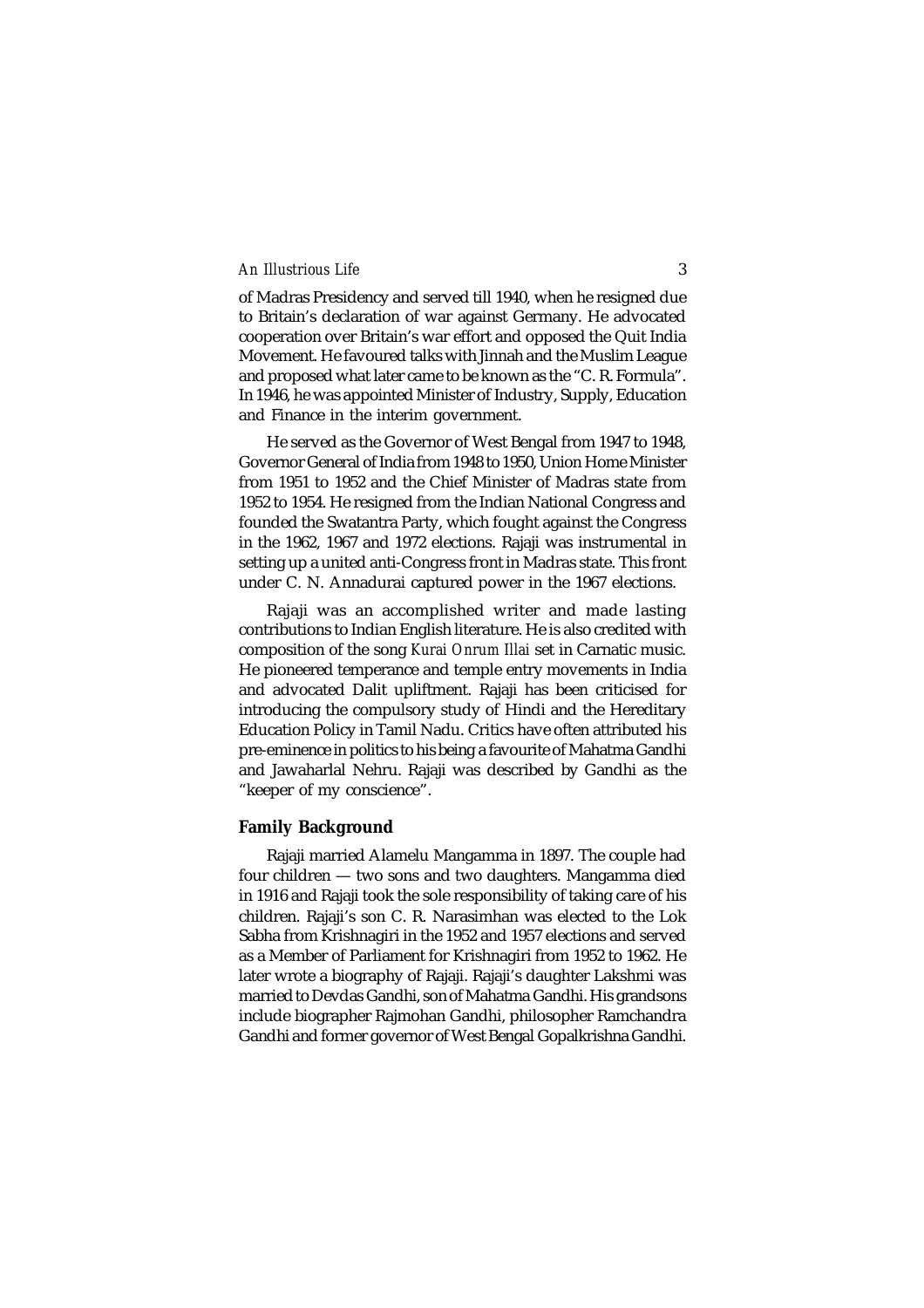of Madras Presidency and served till 1940, when he resigned due to Britain's declaration of war against Germany. He advocated cooperation over Britain's war effort and opposed the Quit India Movement. He favoured talks with Jinnah and the Muslim League and proposed what later came to be known as the "C. R. Formula". In 1946, he was appointed Minister of Industry, Supply, Education and Finance in the interim government.

He served as the Governor of West Bengal from 1947 to 1948, Governor General of India from 1948 to 1950, Union Home Minister from 1951 to 1952 and the Chief Minister of Madras state from 1952 to 1954. He resigned from the Indian National Congress and founded the Swatantra Party, which fought against the Congress in the 1962, 1967 and 1972 elections. Rajaji was instrumental in setting up a united anti-Congress front in Madras state. This front under C. N. Annadurai captured power in the 1967 elections.

Rajaji was an accomplished writer and made lasting contributions to Indian English literature. He is also credited with composition of the song *Kurai Onrum Illai* set in Carnatic music. He pioneered temperance and temple entry movements in India and advocated Dalit upliftment. Rajaji has been criticised for introducing the compulsory study of Hindi and the Hereditary Education Policy in Tamil Nadu. Critics have often attributed his pre-eminence in politics to his being a favourite of Mahatma Gandhi and Jawaharlal Nehru. Rajaji was described by Gandhi as the "keeper of my conscience".

# **Family Background**

Rajaji married Alamelu Mangamma in 1897. The couple had four children — two sons and two daughters. Mangamma died in 1916 and Rajaji took the sole responsibility of taking care of his children. Rajaji's son C. R. Narasimhan was elected to the Lok Sabha from Krishnagiri in the 1952 and 1957 elections and served as a Member of Parliament for Krishnagiri from 1952 to 1962. He later wrote a biography of Rajaji. Rajaji's daughter Lakshmi was married to Devdas Gandhi, son of Mahatma Gandhi. His grandsons include biographer Rajmohan Gandhi, philosopher Ramchandra Gandhi and former governor of West Bengal Gopalkrishna Gandhi.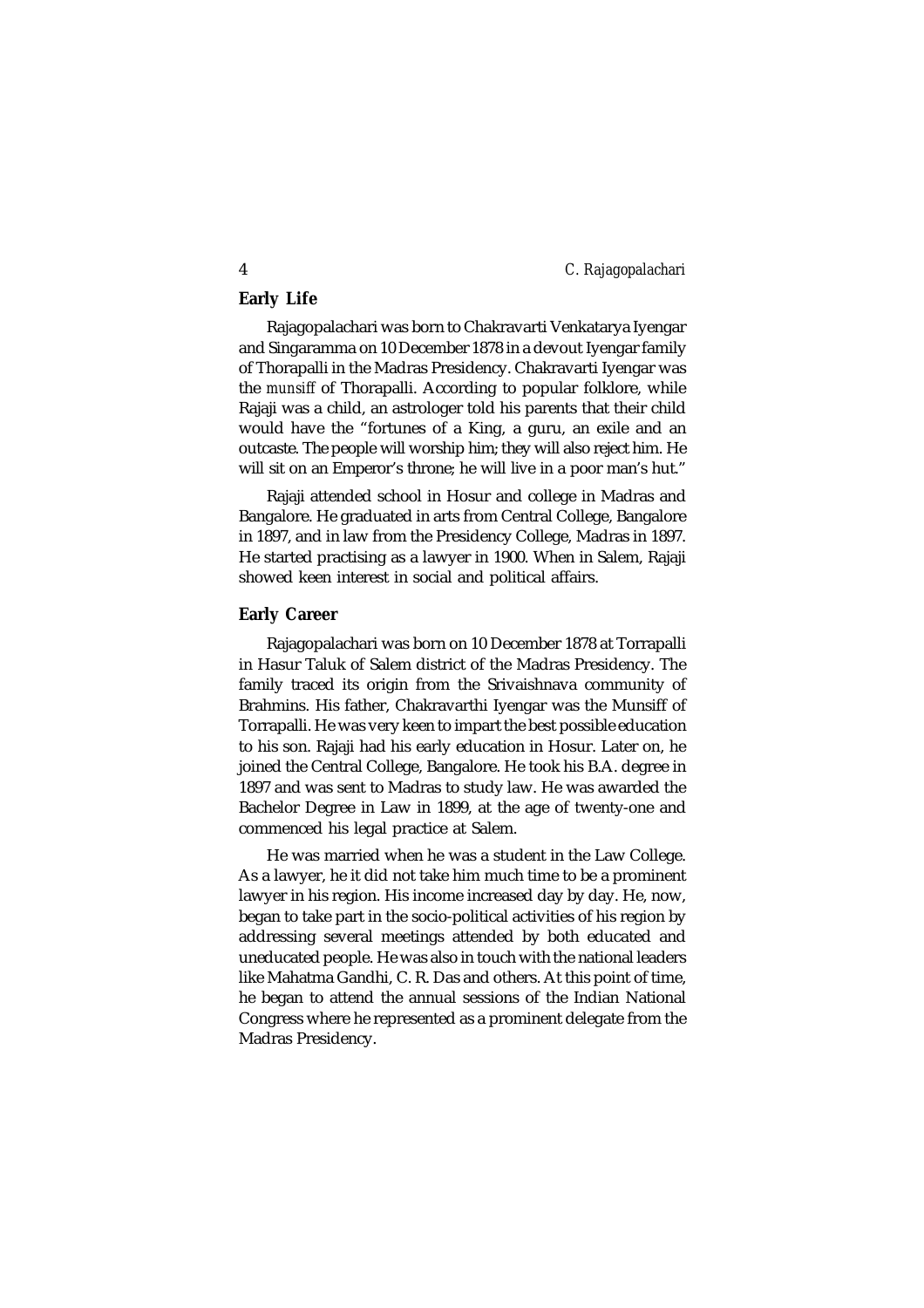# **Early Life**

Rajagopalachari was born to Chakravarti Venkatarya Iyengar and Singaramma on 10 December 1878 in a devout Iyengar family of Thorapalli in the Madras Presidency. Chakravarti Iyengar was the *munsiff* of Thorapalli. According to popular folklore, while Rajaji was a child, an astrologer told his parents that their child would have the "fortunes of a King, a guru, an exile and an outcaste. The people will worship him; they will also reject him. He will sit on an Emperor's throne; he will live in a poor man's hut."

Rajaji attended school in Hosur and college in Madras and Bangalore. He graduated in arts from Central College, Bangalore in 1897, and in law from the Presidency College, Madras in 1897. He started practising as a lawyer in 1900. When in Salem, Rajaji showed keen interest in social and political affairs.

#### **Early Career**

Rajagopalachari was born on 10 December 1878 at Torrapalli in Hasur Taluk of Salem district of the Madras Presidency. The family traced its origin from the Srivaishnava community of Brahmins. His father, Chakravarthi Iyengar was the Munsiff of Torrapalli. He was very keen to impart the best possible education to his son. Rajaji had his early education in Hosur. Later on, he joined the Central College, Bangalore. He took his B.A. degree in 1897 and was sent to Madras to study law. He was awarded the Bachelor Degree in Law in 1899, at the age of twenty-one and commenced his legal practice at Salem.

He was married when he was a student in the Law College. As a lawyer, he it did not take him much time to be a prominent lawyer in his region. His income increased day by day. He, now, began to take part in the socio-political activities of his region by addressing several meetings attended by both educated and uneducated people. He was also in touch with the national leaders like Mahatma Gandhi, C. R. Das and others. At this point of time, he began to attend the annual sessions of the Indian National Congress where he represented as a prominent delegate from the Madras Presidency.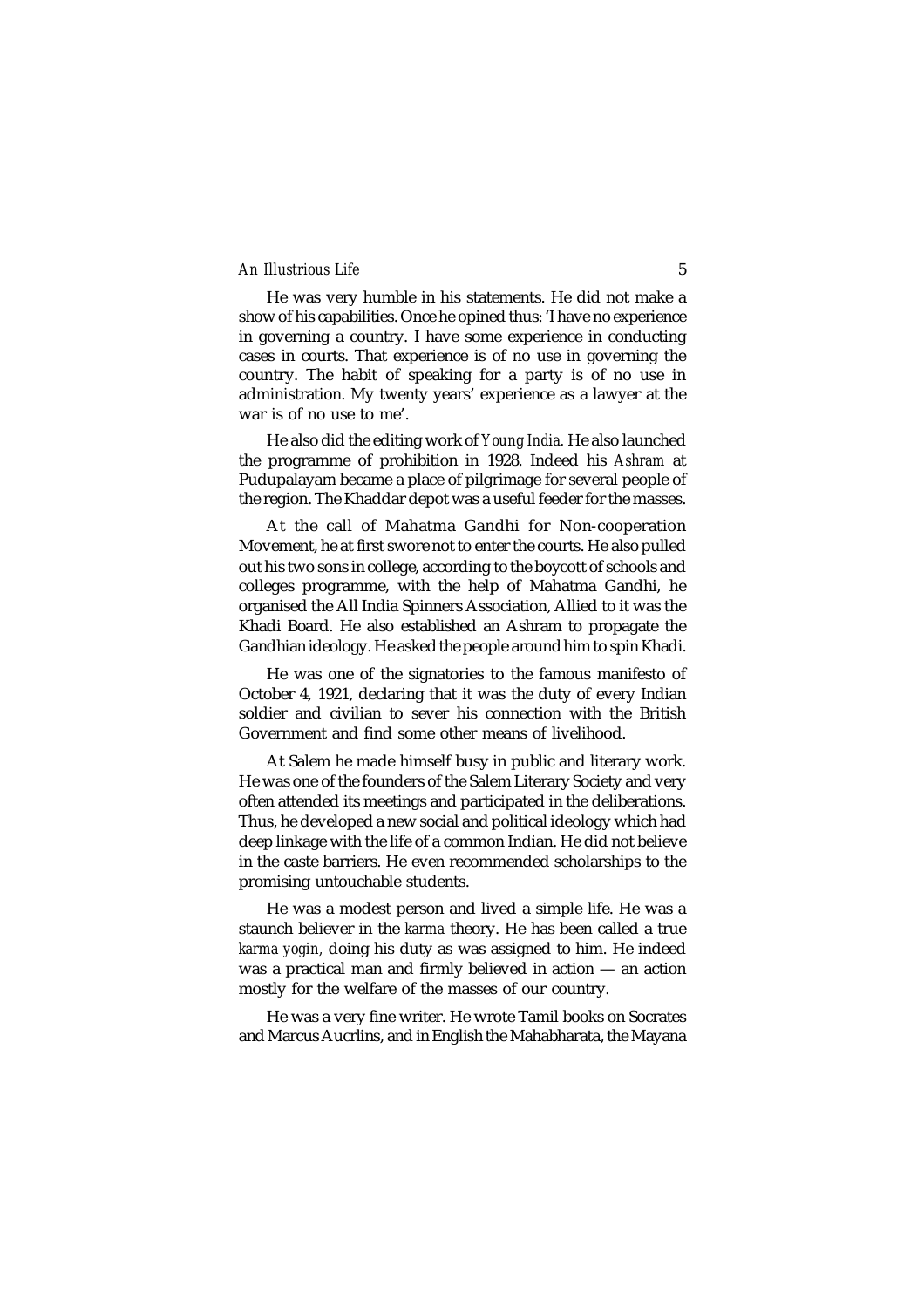He was very humble in his statements. He did not make a show of his capabilities. Once he opined thus: 'I have no experience in governing a country. I have some experience in conducting cases in courts. That experience is of no use in governing the country. The habit of speaking for a party is of no use in administration. My twenty years' experience as a lawyer at the war is of no use to me'.

He also did the editing work of *Young India.* He also launched the programme of prohibition in 1928. Indeed his *Ashram* at Pudupalayam became a place of pilgrimage for several people of the region. The Khaddar depot was a useful feeder for the masses.

At the call of Mahatma Gandhi for Non-cooperation Movement, he at first swore not to enter the courts. He also pulled out his two sons in college, according to the boycott of schools and colleges programme, with the help of Mahatma Gandhi, he organised the All India Spinners Association, Allied to it was the Khadi Board. He also established an Ashram to propagate the Gandhian ideology. He asked the people around him to spin Khadi.

He was one of the signatories to the famous manifesto of October 4, 1921, declaring that it was the duty of every Indian soldier and civilian to sever his connection with the British Government and find some other means of livelihood.

At Salem he made himself busy in public and literary work. He was one of the founders of the Salem Literary Society and very often attended its meetings and participated in the deliberations. Thus, he developed a new social and political ideology which had deep linkage with the life of a common Indian. He did not believe in the caste barriers. He even recommended scholarships to the promising untouchable students.

He was a modest person and lived a simple life. He was a staunch believer in the *karma* theory. He has been called a true *karma yogin,* doing his duty as was assigned to him. He indeed was a practical man and firmly believed in action — an action mostly for the welfare of the masses of our country.

He was a very fine writer. He wrote Tamil books on Socrates and Marcus Aucrlins, and in English the Mahabharata, the Mayana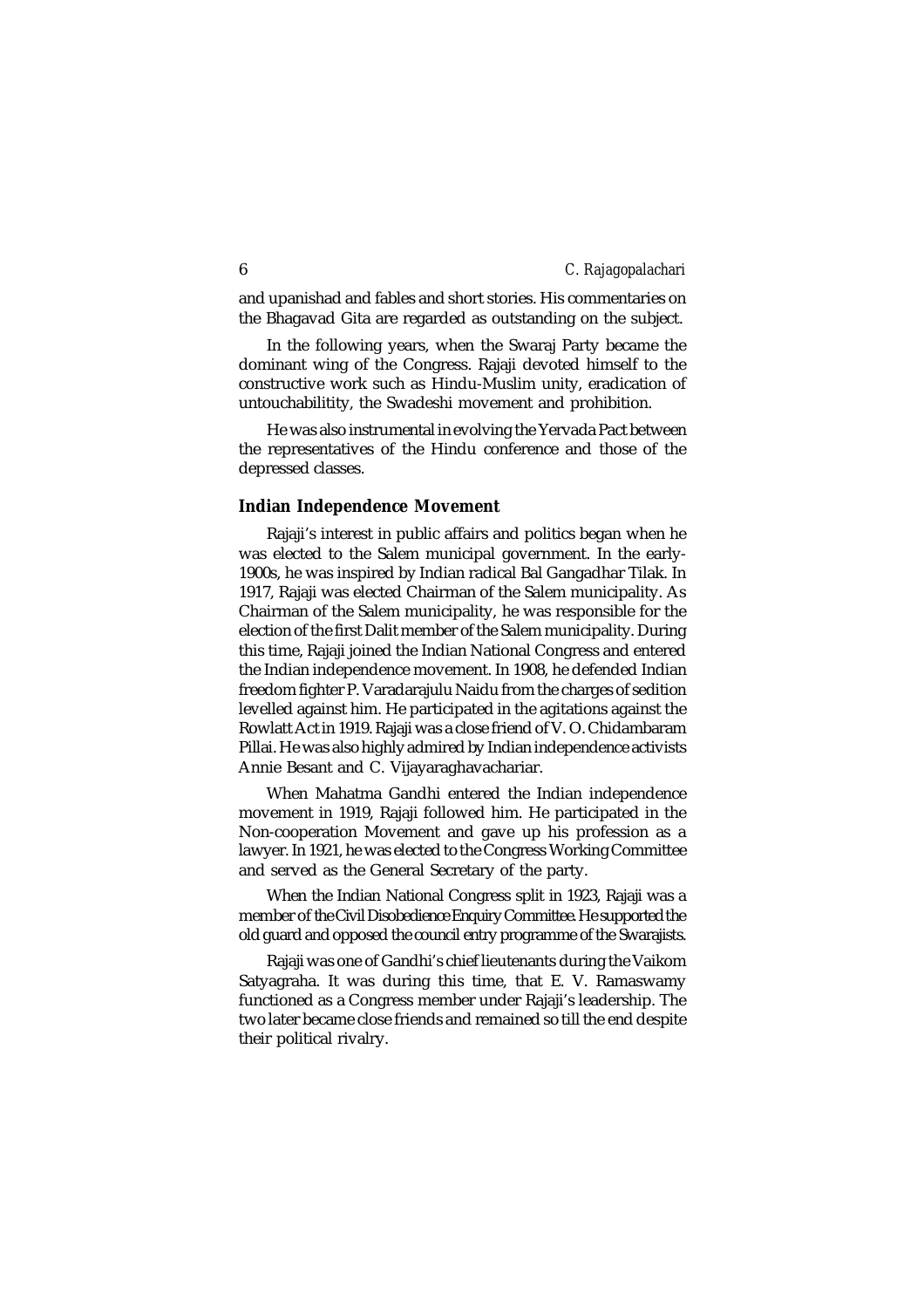and upanishad and fables and short stories. His commentaries on the Bhagavad Gita are regarded as outstanding on the subject.

In the following years, when the Swaraj Party became the dominant wing of the Congress. Rajaji devoted himself to the constructive work such as Hindu-Muslim unity, eradication of untouchabilitity, the Swadeshi movement and prohibition.

He was also instrumental in evolving the Yervada Pact between the representatives of the Hindu conference and those of the depressed classes.

#### **Indian Independence Movement**

Rajaji's interest in public affairs and politics began when he was elected to the Salem municipal government. In the early-1900s, he was inspired by Indian radical Bal Gangadhar Tilak. In 1917, Rajaji was elected Chairman of the Salem municipality. As Chairman of the Salem municipality, he was responsible for the election of the first Dalit member of the Salem municipality. During this time, Rajaji joined the Indian National Congress and entered the Indian independence movement. In 1908, he defended Indian freedom fighter P. Varadarajulu Naidu from the charges of sedition levelled against him. He participated in the agitations against the Rowlatt Act in 1919. Rajaji was a close friend of V. O. Chidambaram Pillai. He was also highly admired by Indian independence activists Annie Besant and C. Vijayaraghavachariar.

When Mahatma Gandhi entered the Indian independence movement in 1919, Rajaji followed him. He participated in the Non-cooperation Movement and gave up his profession as a lawyer. In 1921, he was elected to the Congress Working Committee and served as the General Secretary of the party.

When the Indian National Congress split in 1923, Rajaji was a member of the Civil Disobedience Enquiry Committee. He supported the old guard and opposed the council entry programme of the Swarajists.

Rajaji was one of Gandhi's chief lieutenants during the Vaikom Satyagraha. It was during this time, that E. V. Ramaswamy functioned as a Congress member under Rajaji's leadership. The two later became close friends and remained so till the end despite their political rivalry.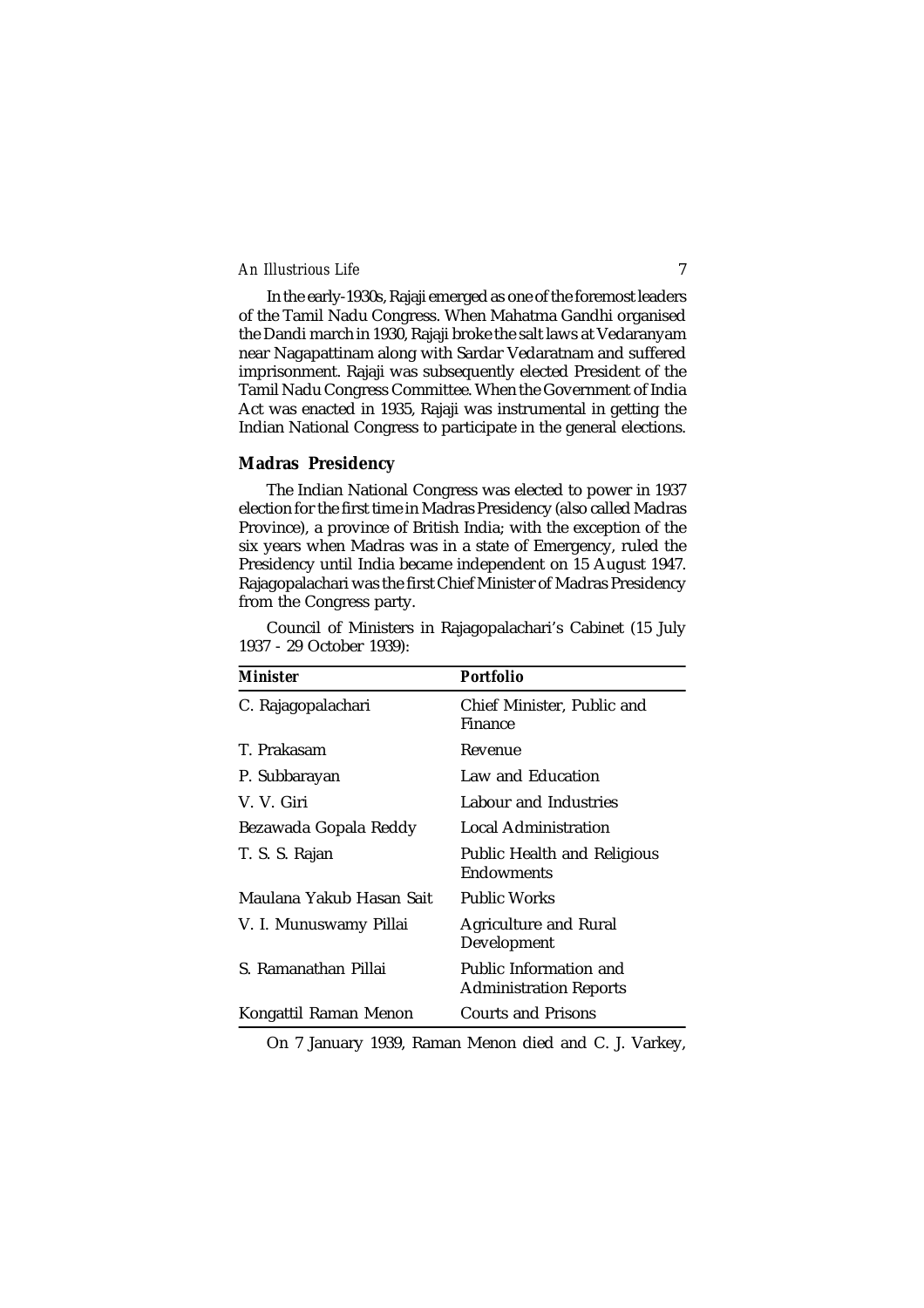In the early-1930s, Rajaji emerged as one of the foremost leaders of the Tamil Nadu Congress. When Mahatma Gandhi organised the Dandi march in 1930, Rajaji broke the salt laws at Vedaranyam near Nagapattinam along with Sardar Vedaratnam and suffered imprisonment. Rajaji was subsequently elected President of the Tamil Nadu Congress Committee. When the Government of India Act was enacted in 1935, Rajaji was instrumental in getting the Indian National Congress to participate in the general elections.

# **Madras Presidency**

The Indian National Congress was elected to power in 1937 election for the first time in Madras Presidency (also called Madras Province), a province of British India; with the exception of the six years when Madras was in a state of Emergency, ruled the Presidency until India became independent on 15 August 1947. Rajagopalachari was the first Chief Minister of Madras Presidency from the Congress party.

Council of Ministers in Rajagopalachari's Cabinet (15 July 1937 - 29 October 1939):

| Minister                 | Portfolio                                        |
|--------------------------|--------------------------------------------------|
| C. Rajagopalachari       | Chief Minister, Public and<br>Finance            |
| T. Prakasam              | Revenue                                          |
| P. Subbarayan            | Law and Education                                |
| V. V. Giri               | Labour and Industries                            |
| Bezawada Gopala Reddy    | Local Administration                             |
| T. S. S. Rajan           | Public Health and Religious<br>Endowments        |
| Maulana Yakub Hasan Sait | Public Works                                     |
| V. I. Munuswamy Pillai   | <b>Agriculture and Rural</b><br>Development      |
| S. Ramanathan Pillai     | Public Information and<br>Administration Reports |
| Kongattil Raman Menon    | Courts and Prisons                               |

On 7 January 1939, Raman Menon died and C. J. Varkey,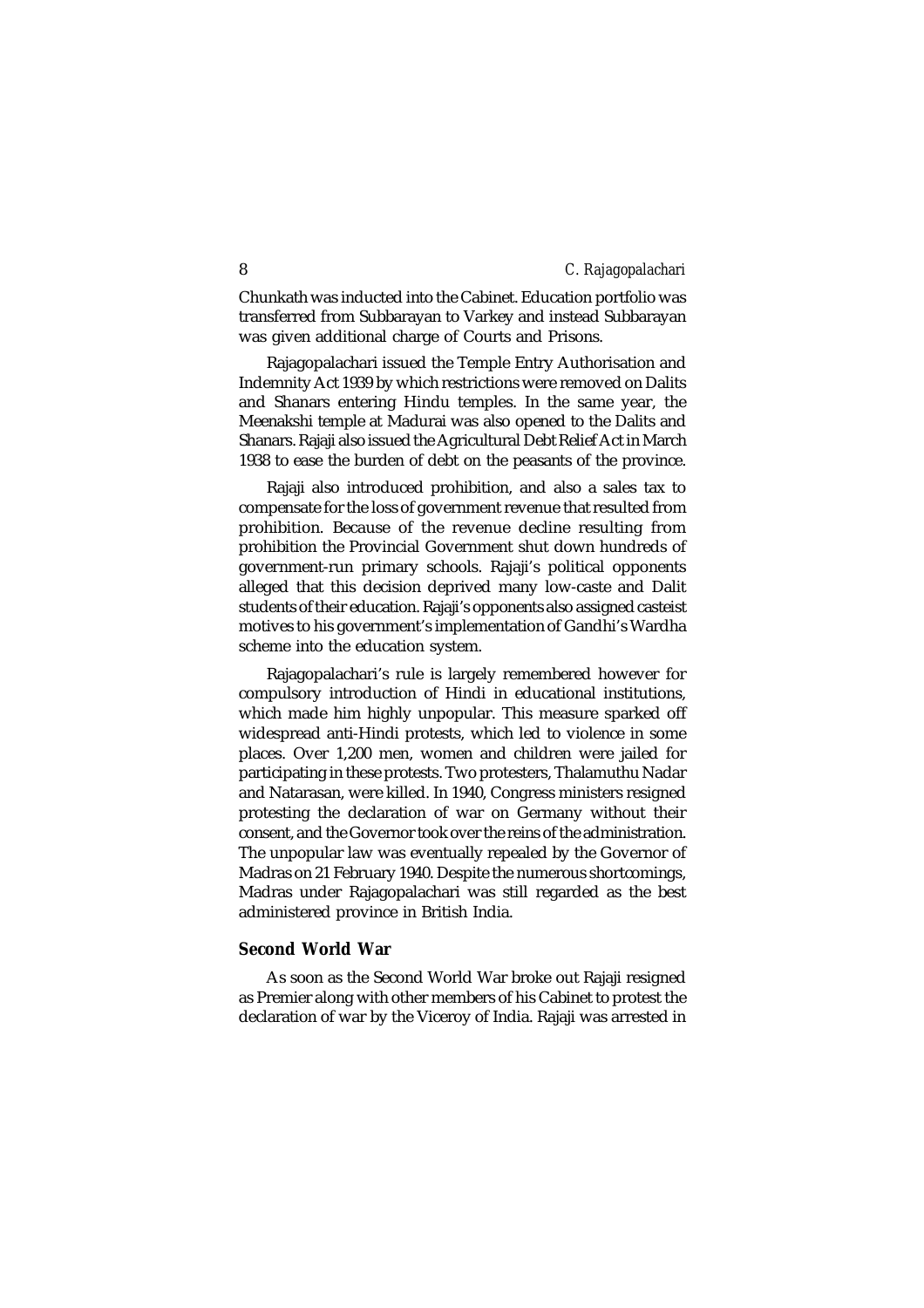Chunkath was inducted into the Cabinet. Education portfolio was transferred from Subbarayan to Varkey and instead Subbarayan was given additional charge of Courts and Prisons.

Rajagopalachari issued the Temple Entry Authorisation and Indemnity Act 1939 by which restrictions were removed on Dalits and Shanars entering Hindu temples. In the same year, the Meenakshi temple at Madurai was also opened to the Dalits and Shanars. Rajaji also issued the Agricultural Debt Relief Act in March 1938 to ease the burden of debt on the peasants of the province.

Rajaji also introduced prohibition, and also a sales tax to compensate for the loss of government revenue that resulted from prohibition. Because of the revenue decline resulting from prohibition the Provincial Government shut down hundreds of government-run primary schools. Rajaji's political opponents alleged that this decision deprived many low-caste and Dalit students of their education. Rajaji's opponents also assigned casteist motives to his government's implementation of Gandhi's Wardha scheme into the education system.

Rajagopalachari's rule is largely remembered however for compulsory introduction of Hindi in educational institutions, which made him highly unpopular. This measure sparked off widespread anti-Hindi protests, which led to violence in some places. Over 1,200 men, women and children were jailed for participating in these protests. Two protesters, Thalamuthu Nadar and Natarasan, were killed. In 1940, Congress ministers resigned protesting the declaration of war on Germany without their consent, and the Governor took over the reins of the administration. The unpopular law was eventually repealed by the Governor of Madras on 21 February 1940. Despite the numerous shortcomings, Madras under Rajagopalachari was still regarded as the best administered province in British India.

# **Second World War**

As soon as the Second World War broke out Rajaji resigned as Premier along with other members of his Cabinet to protest the declaration of war by the Viceroy of India. Rajaji was arrested in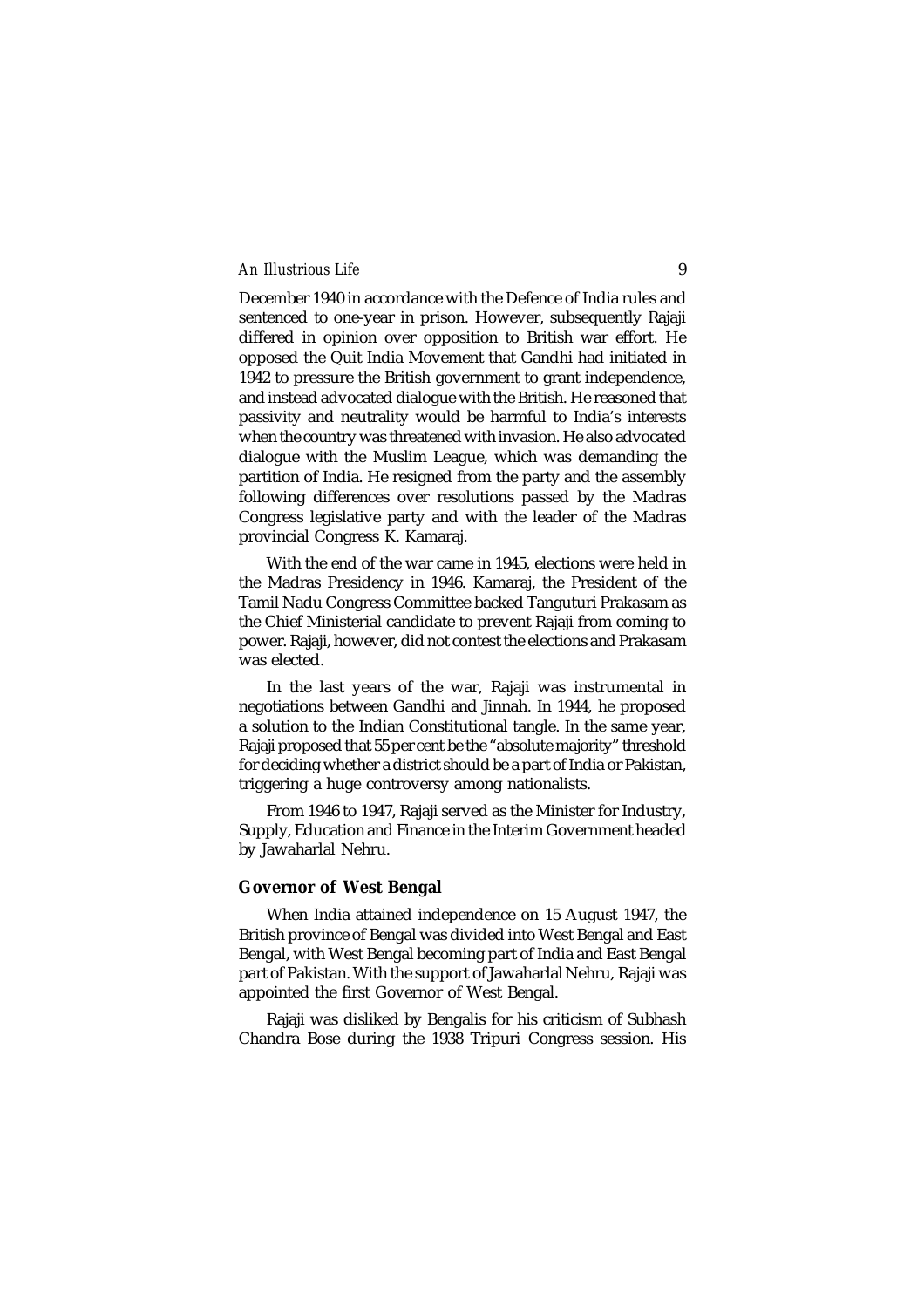December 1940 in accordance with the Defence of India rules and sentenced to one-year in prison. However, subsequently Rajaji differed in opinion over opposition to British war effort. He opposed the Quit India Movement that Gandhi had initiated in 1942 to pressure the British government to grant independence, and instead advocated dialogue with the British. He reasoned that passivity and neutrality would be harmful to India's interests when the country was threatened with invasion. He also advocated dialogue with the Muslim League, which was demanding the partition of India. He resigned from the party and the assembly following differences over resolutions passed by the Madras Congress legislative party and with the leader of the Madras provincial Congress K. Kamaraj.

With the end of the war came in 1945, elections were held in the Madras Presidency in 1946. Kamaraj, the President of the Tamil Nadu Congress Committee backed Tanguturi Prakasam as the Chief Ministerial candidate to prevent Rajaji from coming to power. Rajaji, however, did not contest the elections and Prakasam was elected.

In the last years of the war, Rajaji was instrumental in negotiations between Gandhi and Jinnah. In 1944, he proposed a solution to the Indian Constitutional tangle. In the same year, Rajaji proposed that 55 per cent be the "absolute majority" threshold for deciding whether a district should be a part of India or Pakistan, triggering a huge controversy among nationalists.

From 1946 to 1947, Rajaji served as the Minister for Industry, Supply, Education and Finance in the Interim Government headed by Jawaharlal Nehru.

# **Governor of West Bengal**

When India attained independence on 15 August 1947, the British province of Bengal was divided into West Bengal and East Bengal, with West Bengal becoming part of India and East Bengal part of Pakistan. With the support of Jawaharlal Nehru, Rajaji was appointed the first Governor of West Bengal.

Rajaji was disliked by Bengalis for his criticism of Subhash Chandra Bose during the 1938 Tripuri Congress session. His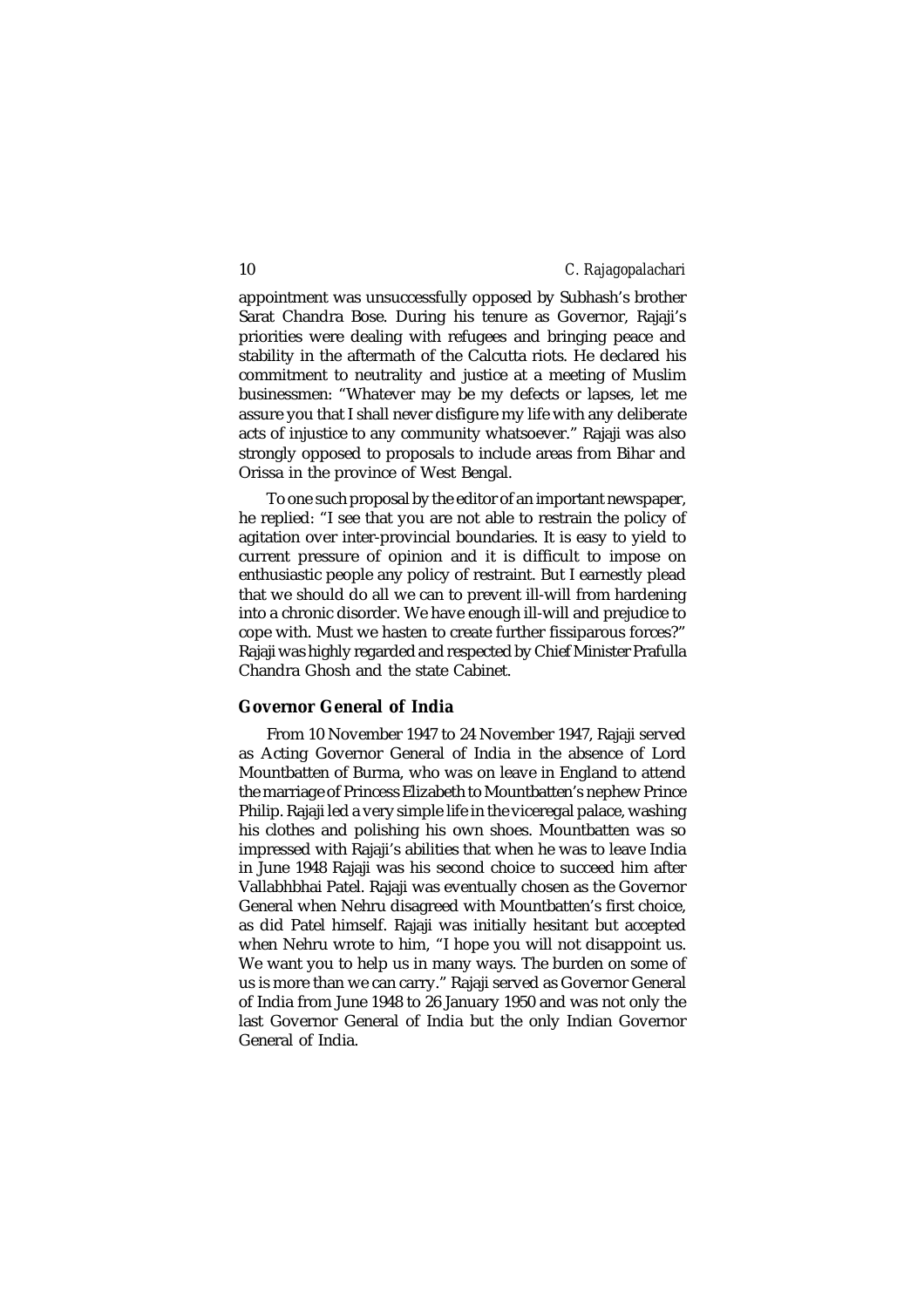appointment was unsuccessfully opposed by Subhash's brother Sarat Chandra Bose. During his tenure as Governor, Rajaji's priorities were dealing with refugees and bringing peace and stability in the aftermath of the Calcutta riots. He declared his commitment to neutrality and justice at a meeting of Muslim businessmen: "Whatever may be my defects or lapses, let me assure you that I shall never disfigure my life with any deliberate acts of injustice to any community whatsoever." Rajaji was also strongly opposed to proposals to include areas from Bihar and Orissa in the province of West Bengal.

To one such proposal by the editor of an important newspaper, he replied: "I see that you are not able to restrain the policy of agitation over inter-provincial boundaries. It is easy to yield to current pressure of opinion and it is difficult to impose on enthusiastic people any policy of restraint. But I earnestly plead that we should do all we can to prevent ill-will from hardening into a chronic disorder. We have enough ill-will and prejudice to cope with. Must we hasten to create further fissiparous forces?" Rajaji was highly regarded and respected by Chief Minister Prafulla Chandra Ghosh and the state Cabinet.

# **Governor General of India**

From 10 November 1947 to 24 November 1947, Rajaji served as Acting Governor General of India in the absence of Lord Mountbatten of Burma, who was on leave in England to attend the marriage of Princess Elizabeth to Mountbatten's nephew Prince Philip. Rajaji led a very simple life in the viceregal palace, washing his clothes and polishing his own shoes. Mountbatten was so impressed with Rajaji's abilities that when he was to leave India in June 1948 Rajaji was his second choice to succeed him after Vallabhbhai Patel. Rajaji was eventually chosen as the Governor General when Nehru disagreed with Mountbatten's first choice, as did Patel himself. Rajaji was initially hesitant but accepted when Nehru wrote to him, "I hope you will not disappoint us. We want you to help us in many ways. The burden on some of us is more than we can carry." Rajaji served as Governor General of India from June 1948 to 26 January 1950 and was not only the last Governor General of India but the only Indian Governor General of India.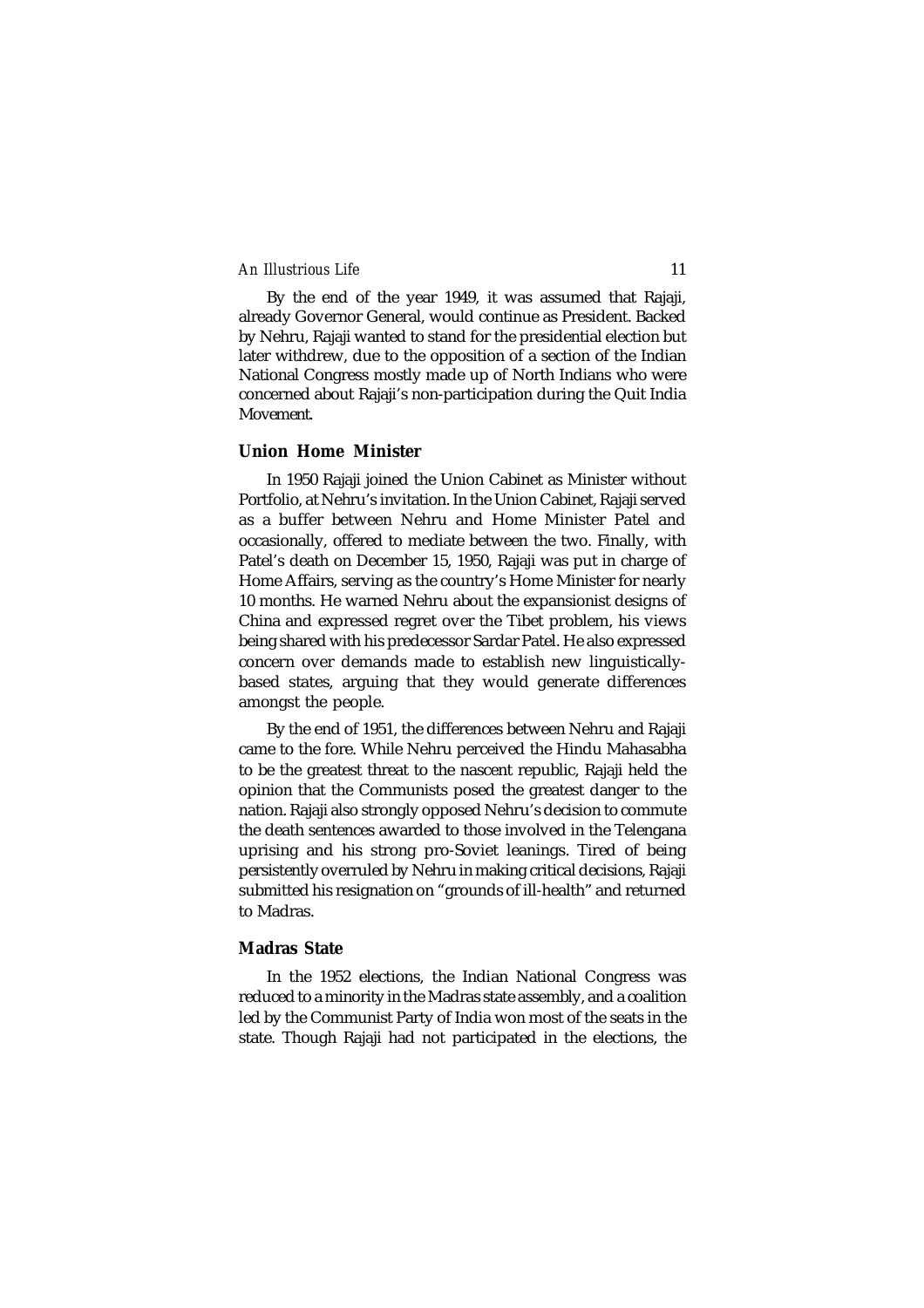By the end of the year 1949, it was assumed that Rajaji, already Governor General, would continue as President. Backed by Nehru, Rajaji wanted to stand for the presidential election but later withdrew, due to the opposition of a section of the Indian National Congress mostly made up of North Indians who were concerned about Rajaji's non-participation during the Quit India Movement.

#### **Union Home Minister**

In 1950 Rajaji joined the Union Cabinet as Minister without Portfolio, at Nehru's invitation. In the Union Cabinet, Rajaji served as a buffer between Nehru and Home Minister Patel and occasionally, offered to mediate between the two. Finally, with Patel's death on December 15, 1950, Rajaji was put in charge of Home Affairs, serving as the country's Home Minister for nearly 10 months. He warned Nehru about the expansionist designs of China and expressed regret over the Tibet problem, his views being shared with his predecessor Sardar Patel. He also expressed concern over demands made to establish new linguisticallybased states, arguing that they would generate differences amongst the people.

By the end of 1951, the differences between Nehru and Rajaji came to the fore. While Nehru perceived the Hindu Mahasabha to be the greatest threat to the nascent republic, Rajaji held the opinion that the Communists posed the greatest danger to the nation. Rajaji also strongly opposed Nehru's decision to commute the death sentences awarded to those involved in the Telengana uprising and his strong pro-Soviet leanings. Tired of being persistently overruled by Nehru in making critical decisions, Rajaji submitted his resignation on "grounds of ill-health" and returned to Madras.

# **Madras State**

In the 1952 elections, the Indian National Congress was reduced to a minority in the Madras state assembly, and a coalition led by the Communist Party of India won most of the seats in the state. Though Rajaji had not participated in the elections, the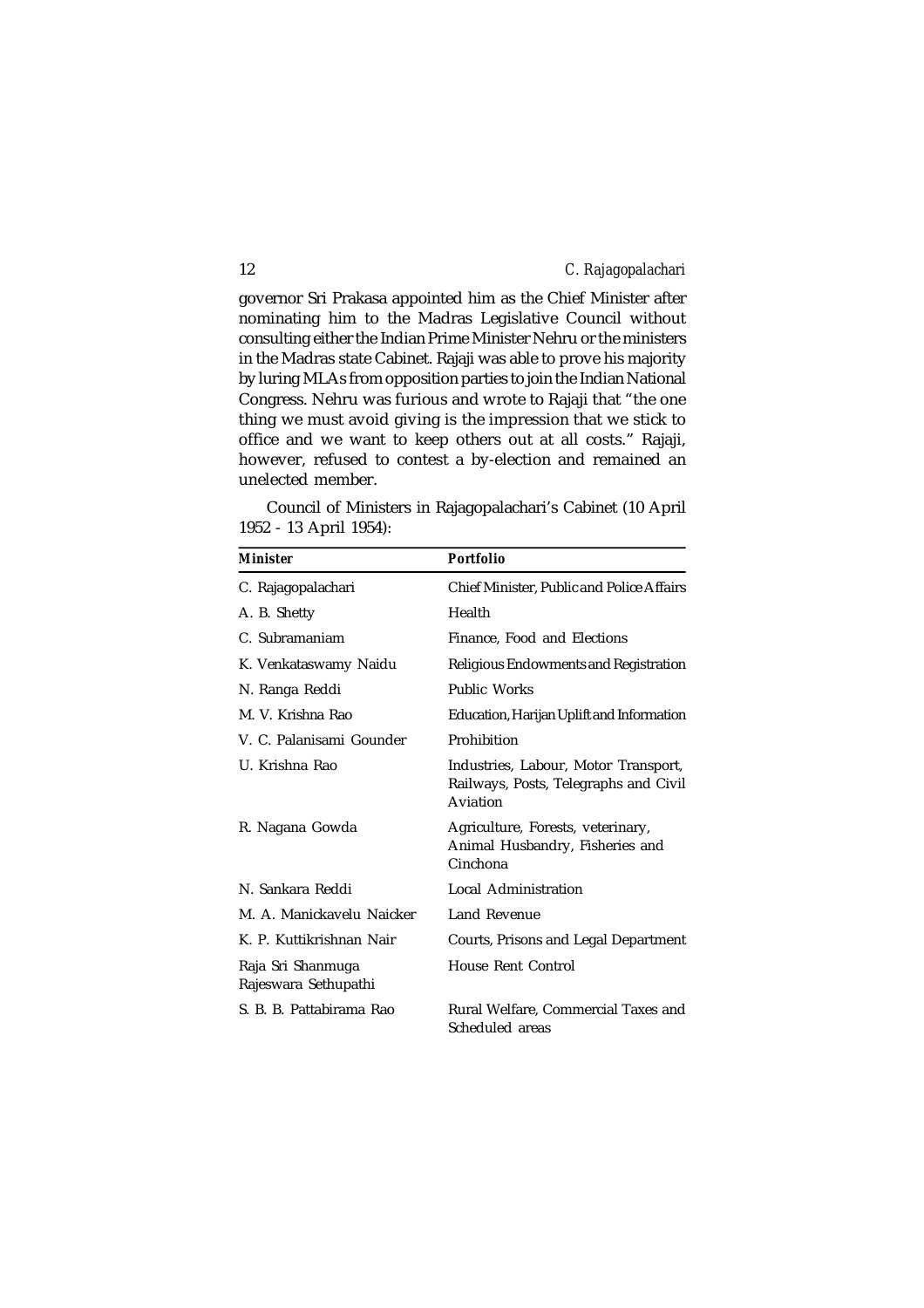governor Sri Prakasa appointed him as the Chief Minister after nominating him to the Madras Legislative Council without consulting either the Indian Prime Minister Nehru or the ministers in the Madras state Cabinet. Rajaji was able to prove his majority by luring MLAs from opposition parties to join the Indian National Congress. Nehru was furious and wrote to Rajaji that "the one thing we must avoid giving is the impression that we stick to office and we want to keep others out at all costs." Rajaji, however, refused to contest a by-election and remained an unelected member.

Council of Ministers in Rajagopalachari's Cabinet (10 April 1952 - 13 April 1954):

| Minister                                  | <b>Portfolio</b>                                                                          |
|-------------------------------------------|-------------------------------------------------------------------------------------------|
| C. Rajagopalachari                        | Chief Minister, Public and Police Affairs                                                 |
| A. B. Shetty                              | Health                                                                                    |
| C. Subramaniam                            | Finance, Food and Elections                                                               |
| K. Venkataswamy Naidu                     | Religious Endowments and Registration                                                     |
| N. Ranga Reddi                            | Public Works                                                                              |
| M. V. Krishna Rao                         | Education, Harijan Uplift and Information                                                 |
| V. C. Palanisami Gounder                  | Prohibition                                                                               |
| U. Krishna Rao                            | Industries, Labour, Motor Transport,<br>Railways, Posts, Telegraphs and Civil<br>Aviation |
| R. Nagana Gowda                           | Agriculture, Forests, veterinary,<br>Animal Husbandry, Fisheries and<br>Cinchona          |
| N. Sankara Reddi                          | Local Administration                                                                      |
| M. A. Manickavelu Naicker                 | Land Revenue                                                                              |
| K. P. Kuttikrishnan Nair                  | Courts, Prisons and Legal Department                                                      |
| Raja Sri Shanmuga<br>Rajeswara Sethupathi | House Rent Control                                                                        |
| S. B. B. Pattabirama Rao                  | Rural Welfare, Commercial Taxes and<br>Scheduled areas                                    |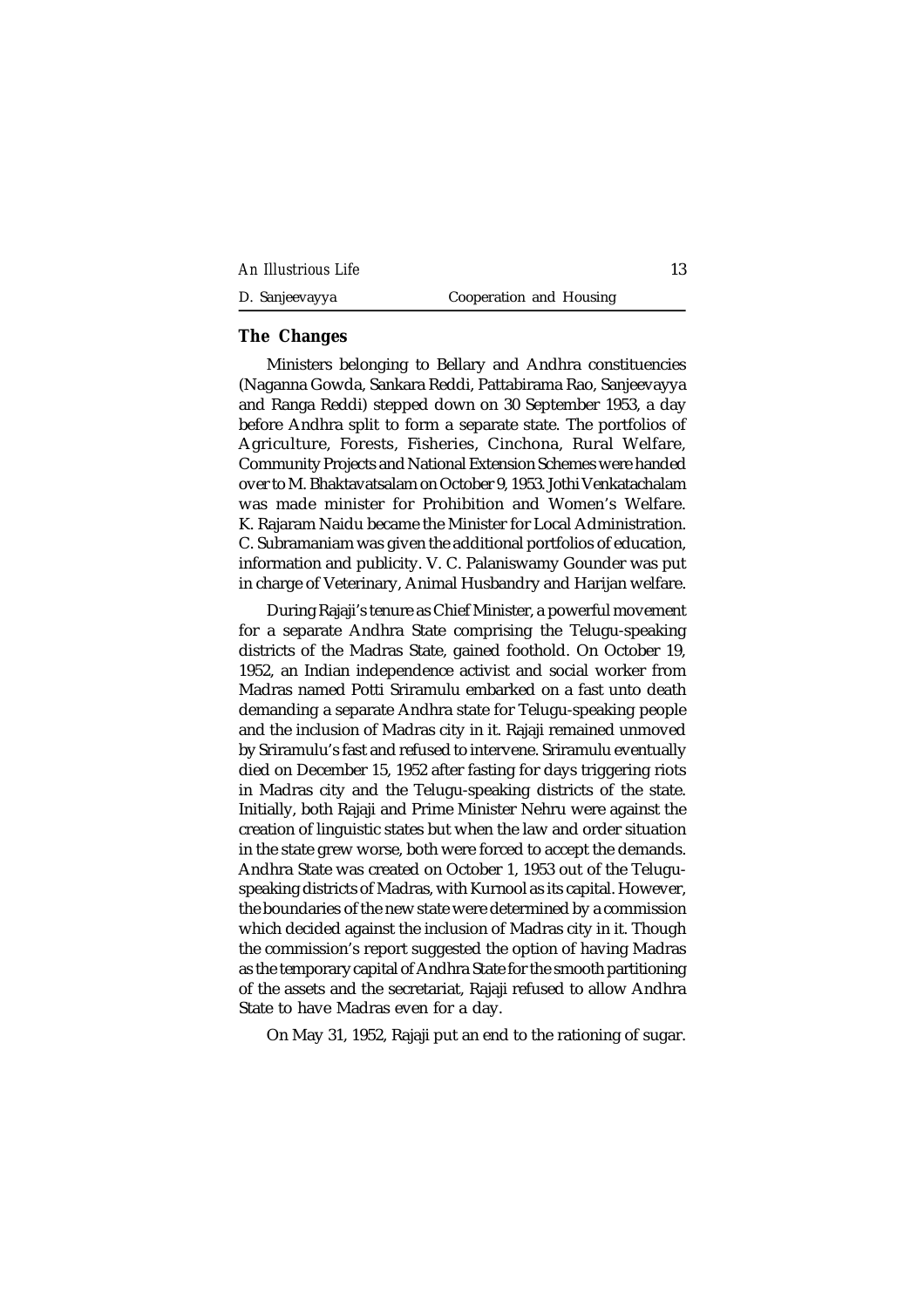| An Illustrious Life |  |  |
|---------------------|--|--|
|---------------------|--|--|

| D. Sanjeevayya | Cooperation and Housing |
|----------------|-------------------------|
|----------------|-------------------------|

# **The Changes**

Ministers belonging to Bellary and Andhra constituencies (Naganna Gowda, Sankara Reddi, Pattabirama Rao, Sanjeevayya and Ranga Reddi) stepped down on 30 September 1953, a day before Andhra split to form a separate state. The portfolios of Agriculture, Forests, Fisheries, Cinchona, Rural Welfare, Community Projects and National Extension Schemes were handed over to M. Bhaktavatsalam on October 9, 1953. Jothi Venkatachalam was made minister for Prohibition and Women's Welfare. K. Rajaram Naidu became the Minister for Local Administration. C. Subramaniam was given the additional portfolios of education, information and publicity. V. C. Palaniswamy Gounder was put in charge of Veterinary, Animal Husbandry and Harijan welfare.

During Rajaji's tenure as Chief Minister, a powerful movement for a separate Andhra State comprising the Telugu-speaking districts of the Madras State, gained foothold. On October 19, 1952, an Indian independence activist and social worker from Madras named Potti Sriramulu embarked on a fast unto death demanding a separate Andhra state for Telugu-speaking people and the inclusion of Madras city in it. Rajaji remained unmoved by Sriramulu's fast and refused to intervene. Sriramulu eventually died on December 15, 1952 after fasting for days triggering riots in Madras city and the Telugu-speaking districts of the state. Initially, both Rajaji and Prime Minister Nehru were against the creation of linguistic states but when the law and order situation in the state grew worse, both were forced to accept the demands. Andhra State was created on October 1, 1953 out of the Teluguspeaking districts of Madras, with Kurnool as its capital. However, the boundaries of the new state were determined by a commission which decided against the inclusion of Madras city in it. Though the commission's report suggested the option of having Madras as the temporary capital of Andhra State for the smooth partitioning of the assets and the secretariat, Rajaji refused to allow Andhra State to have Madras even for a day.

On May 31, 1952, Rajaji put an end to the rationing of sugar.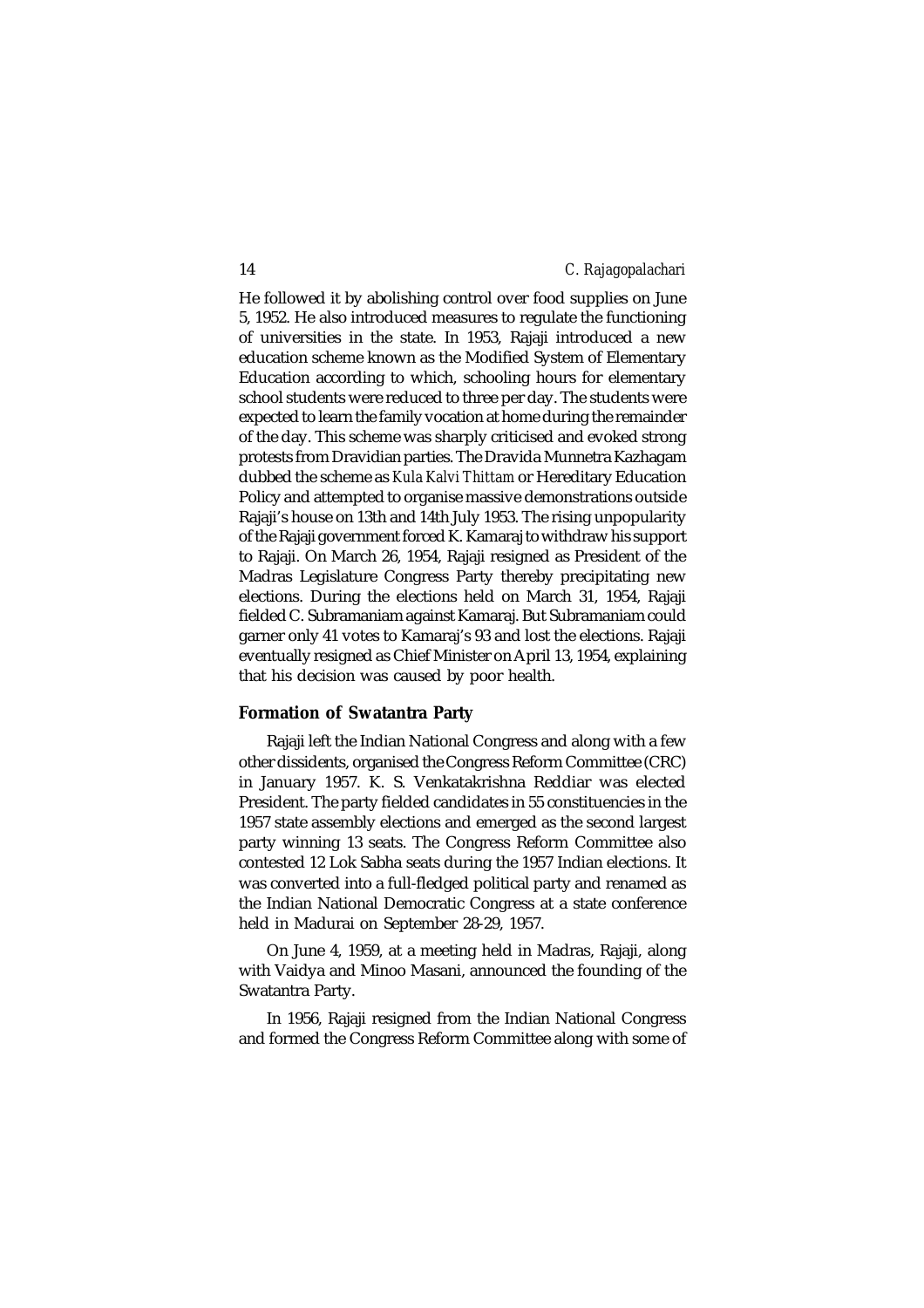He followed it by abolishing control over food supplies on June 5, 1952. He also introduced measures to regulate the functioning of universities in the state. In 1953, Rajaji introduced a new education scheme known as the Modified System of Elementary Education according to which, schooling hours for elementary school students were reduced to three per day. The students were expected to learn the family vocation at home during the remainder of the day. This scheme was sharply criticised and evoked strong protests from Dravidian parties. The Dravida Munnetra Kazhagam dubbed the scheme as *Kula Kalvi Thittam* or Hereditary Education Policy and attempted to organise massive demonstrations outside Rajaji's house on 13th and 14th July 1953. The rising unpopularity of the Rajaji government forced K. Kamaraj to withdraw his support to Rajaji. On March 26, 1954, Rajaji resigned as President of the Madras Legislature Congress Party thereby precipitating new elections. During the elections held on March 31, 1954, Rajaji fielded C. Subramaniam against Kamaraj. But Subramaniam could garner only 41 votes to Kamaraj's 93 and lost the elections. Rajaji eventually resigned as Chief Minister on April 13, 1954, explaining that his decision was caused by poor health.

# **Formation of Swatantra Party**

Rajaji left the Indian National Congress and along with a few other dissidents, organised the Congress Reform Committee (CRC) in January 1957. K. S. Venkatakrishna Reddiar was elected President. The party fielded candidates in 55 constituencies in the 1957 state assembly elections and emerged as the second largest party winning 13 seats. The Congress Reform Committee also contested 12 Lok Sabha seats during the 1957 Indian elections. It was converted into a full-fledged political party and renamed as the Indian National Democratic Congress at a state conference held in Madurai on September 28-29, 1957.

On June 4, 1959, at a meeting held in Madras, Rajaji, along with Vaidya and Minoo Masani, announced the founding of the Swatantra Party.

In 1956, Rajaji resigned from the Indian National Congress and formed the Congress Reform Committee along with some of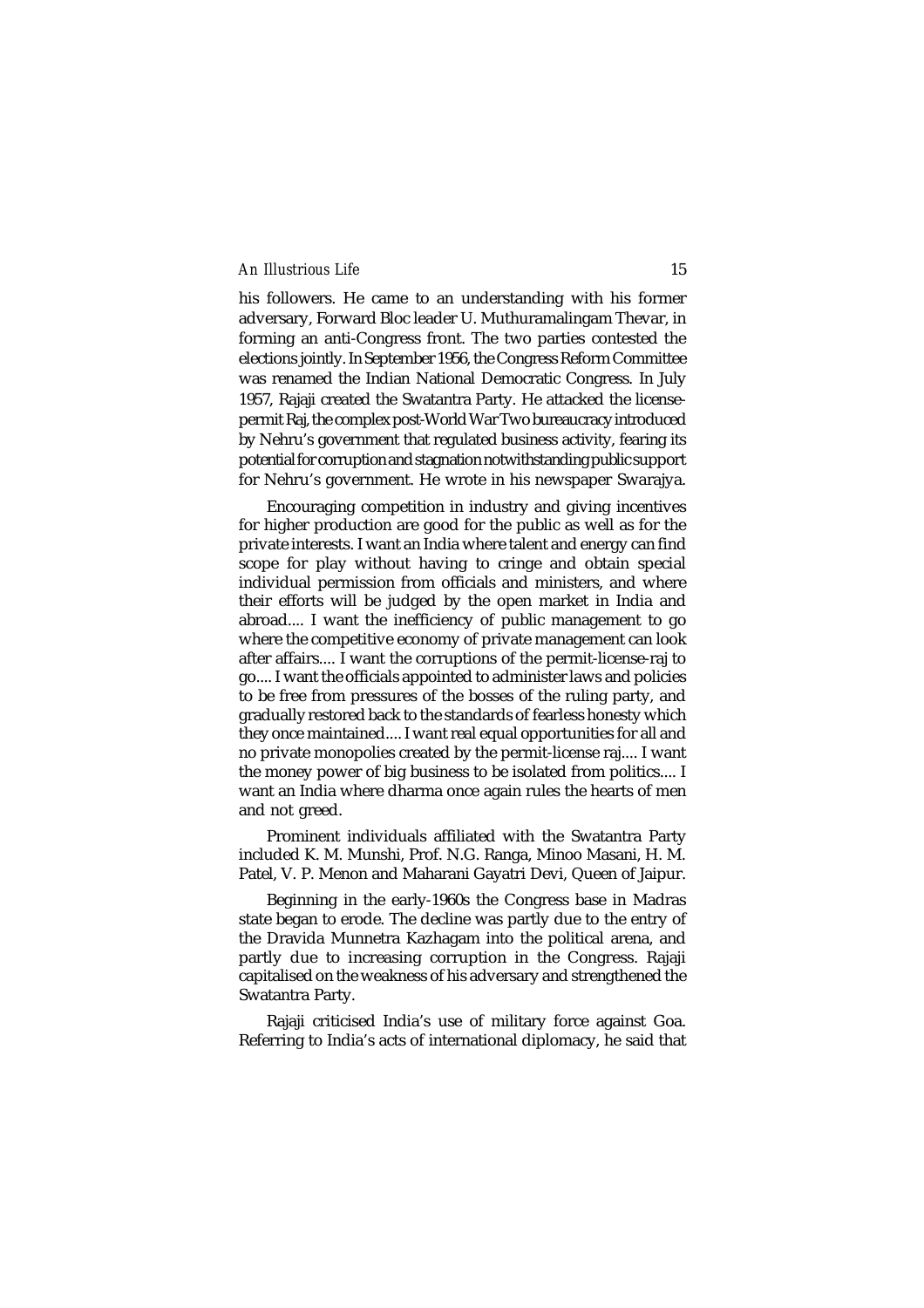his followers. He came to an understanding with his former adversary, Forward Bloc leader U. Muthuramalingam Thevar, in forming an anti-Congress front. The two parties contested the elections jointly. In September 1956, the Congress Reform Committee was renamed the Indian National Democratic Congress. In July 1957, Rajaji created the Swatantra Party. He attacked the licensepermit Raj, the complex post-World War Two bureaucracy introduced by Nehru's government that regulated business activity, fearing its potential for corruption and stagnation notwithstanding public support for Nehru's government. He wrote in his newspaper Swarajya.

Encouraging competition in industry and giving incentives for higher production are good for the public as well as for the private interests. I want an India where talent and energy can find scope for play without having to cringe and obtain special individual permission from officials and ministers, and where their efforts will be judged by the open market in India and abroad.... I want the inefficiency of public management to go where the competitive economy of private management can look after affairs.... I want the corruptions of the permit-license-raj to go.... I want the officials appointed to administer laws and policies to be free from pressures of the bosses of the ruling party, and gradually restored back to the standards of fearless honesty which they once maintained.... I want real equal opportunities for all and no private monopolies created by the permit-license raj.... I want the money power of big business to be isolated from politics.... I want an India where dharma once again rules the hearts of men and not greed.

Prominent individuals affiliated with the Swatantra Party included K. M. Munshi, Prof. N.G. Ranga, Minoo Masani, H. M. Patel, V. P. Menon and Maharani Gayatri Devi, Queen of Jaipur.

Beginning in the early-1960s the Congress base in Madras state began to erode. The decline was partly due to the entry of the Dravida Munnetra Kazhagam into the political arena, and partly due to increasing corruption in the Congress. Rajaji capitalised on the weakness of his adversary and strengthened the Swatantra Party.

Rajaji criticised India's use of military force against Goa. Referring to India's acts of international diplomacy, he said that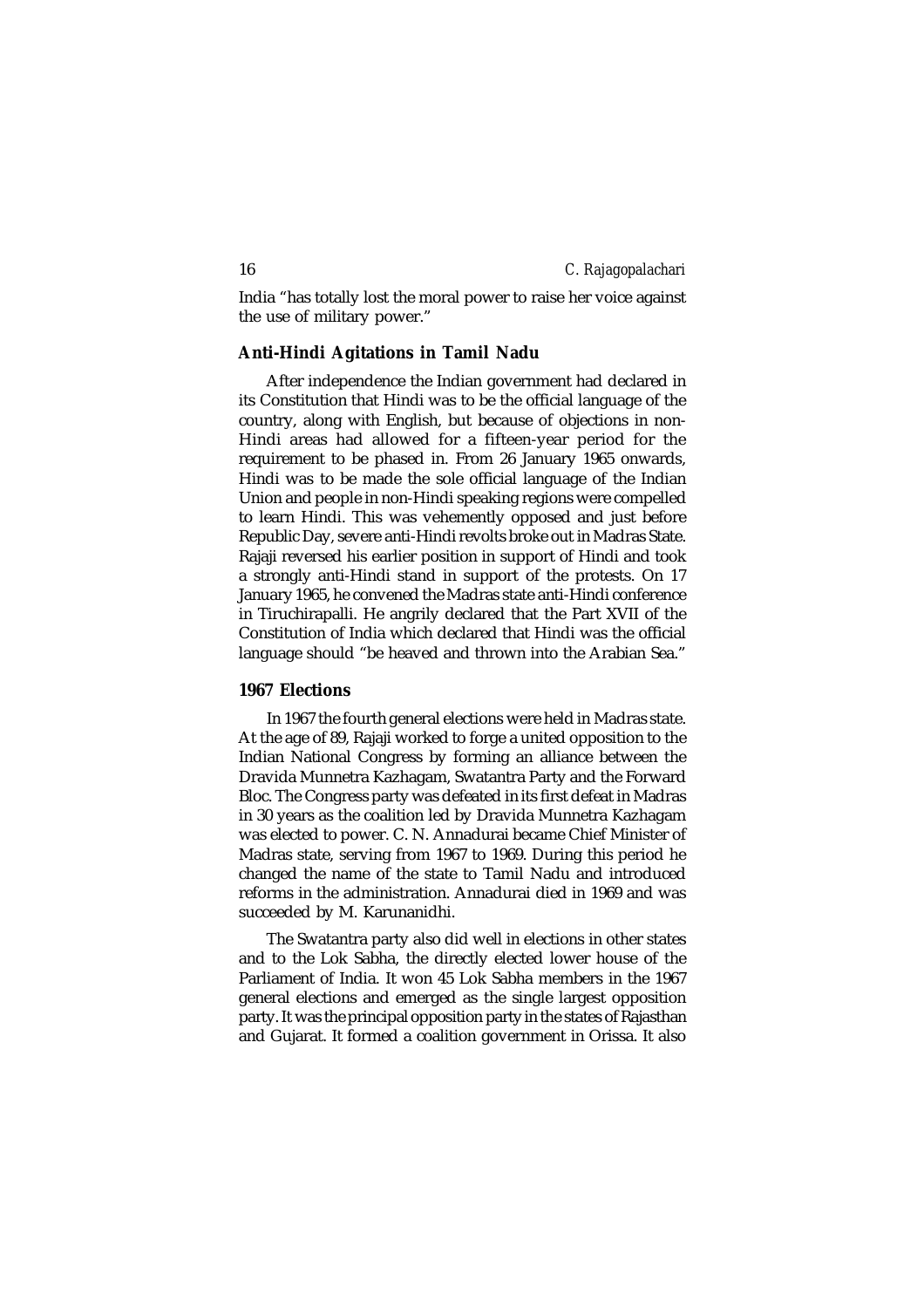India "has totally lost the moral power to raise her voice against the use of military power."

# **Anti-Hindi Agitations in Tamil Nadu**

After independence the Indian government had declared in its Constitution that Hindi was to be the official language of the country, along with English, but because of objections in non-Hindi areas had allowed for a fifteen-year period for the requirement to be phased in. From 26 January 1965 onwards, Hindi was to be made the sole official language of the Indian Union and people in non-Hindi speaking regions were compelled to learn Hindi. This was vehemently opposed and just before Republic Day, severe anti-Hindi revolts broke out in Madras State. Rajaji reversed his earlier position in support of Hindi and took a strongly anti-Hindi stand in support of the protests. On 17 January 1965, he convened the Madras state anti-Hindi conference in Tiruchirapalli. He angrily declared that the Part XVII of the Constitution of India which declared that Hindi was the official language should "be heaved and thrown into the Arabian Sea."

# **1967 Elections**

In 1967 the fourth general elections were held in Madras state. At the age of 89, Rajaji worked to forge a united opposition to the Indian National Congress by forming an alliance between the Dravida Munnetra Kazhagam, Swatantra Party and the Forward Bloc. The Congress party was defeated in its first defeat in Madras in 30 years as the coalition led by Dravida Munnetra Kazhagam was elected to power. C. N. Annadurai became Chief Minister of Madras state, serving from 1967 to 1969. During this period he changed the name of the state to Tamil Nadu and introduced reforms in the administration. Annadurai died in 1969 and was succeeded by M. Karunanidhi.

The Swatantra party also did well in elections in other states and to the Lok Sabha, the directly elected lower house of the Parliament of India. It won 45 Lok Sabha members in the 1967 general elections and emerged as the single largest opposition party. It was the principal opposition party in the states of Rajasthan and Gujarat. It formed a coalition government in Orissa. It also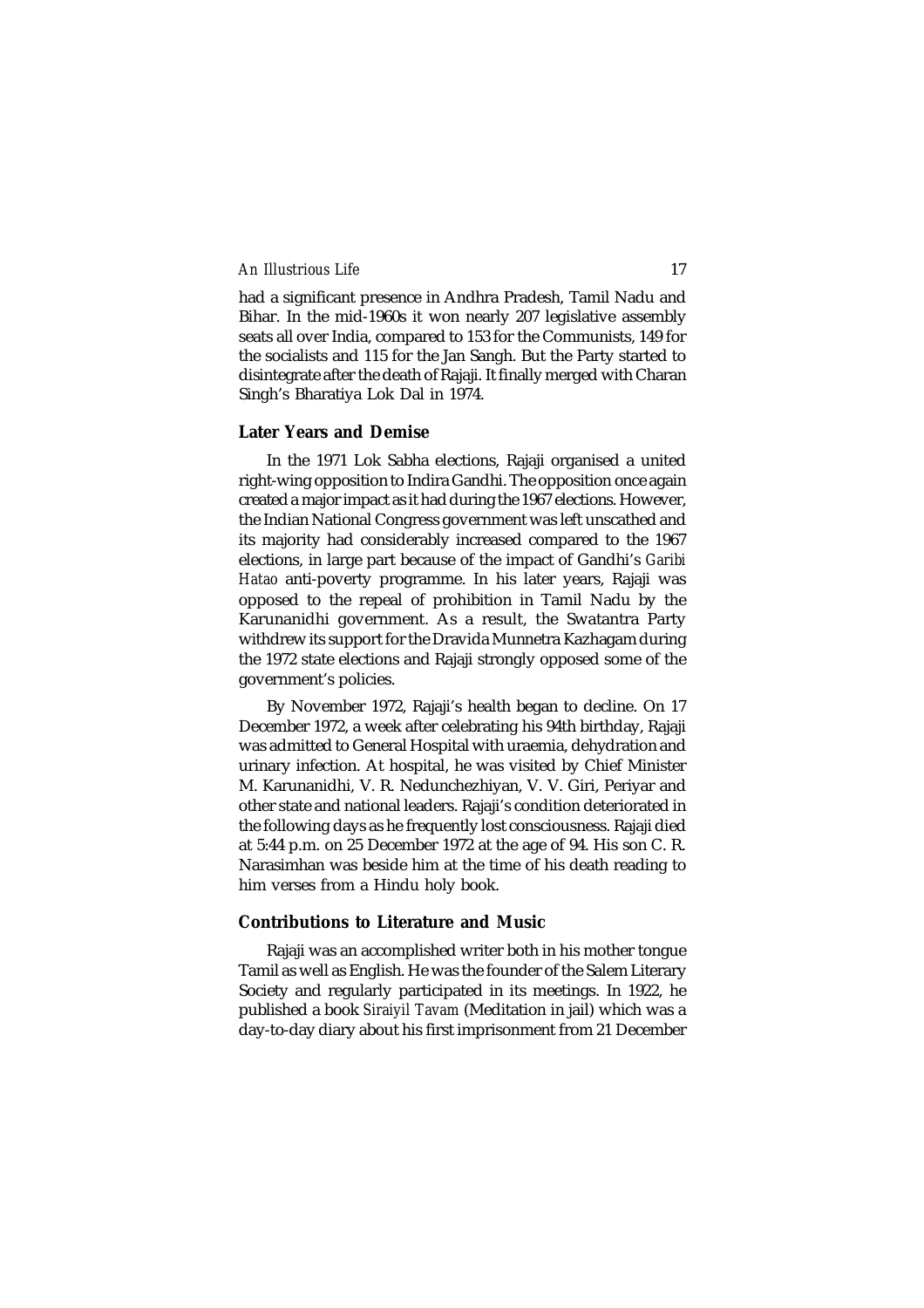had a significant presence in Andhra Pradesh, Tamil Nadu and Bihar. In the mid-1960s it won nearly 207 legislative assembly seats all over India, compared to 153 for the Communists, 149 for the socialists and 115 for the Jan Sangh. But the Party started to disintegrate after the death of Rajaji. It finally merged with Charan Singh's Bharatiya Lok Dal in 1974.

### **Later Years and Demise**

In the 1971 Lok Sabha elections, Rajaji organised a united right-wing opposition to Indira Gandhi. The opposition once again created a major impact as it had during the 1967 elections. However, the Indian National Congress government was left unscathed and its majority had considerably increased compared to the 1967 elections, in large part because of the impact of Gandhi's *Garibi Hatao* anti-poverty programme. In his later years, Rajaji was opposed to the repeal of prohibition in Tamil Nadu by the Karunanidhi government. As a result, the Swatantra Party withdrew its support for the Dravida Munnetra Kazhagam during the 1972 state elections and Rajaji strongly opposed some of the government's policies.

By November 1972, Rajaji's health began to decline. On 17 December 1972, a week after celebrating his 94th birthday, Rajaji was admitted to General Hospital with uraemia, dehydration and urinary infection. At hospital, he was visited by Chief Minister M. Karunanidhi, V. R. Nedunchezhiyan, V. V. Giri, Periyar and other state and national leaders. Rajaji's condition deteriorated in the following days as he frequently lost consciousness. Rajaji died at 5:44 p.m. on 25 December 1972 at the age of 94. His son C. R. Narasimhan was beside him at the time of his death reading to him verses from a Hindu holy book.

#### **Contributions to Literature and Music**

Rajaji was an accomplished writer both in his mother tongue Tamil as well as English. He was the founder of the Salem Literary Society and regularly participated in its meetings. In 1922, he published a book *Siraiyil Tavam* (Meditation in jail) which was a day-to-day diary about his first imprisonment from 21 December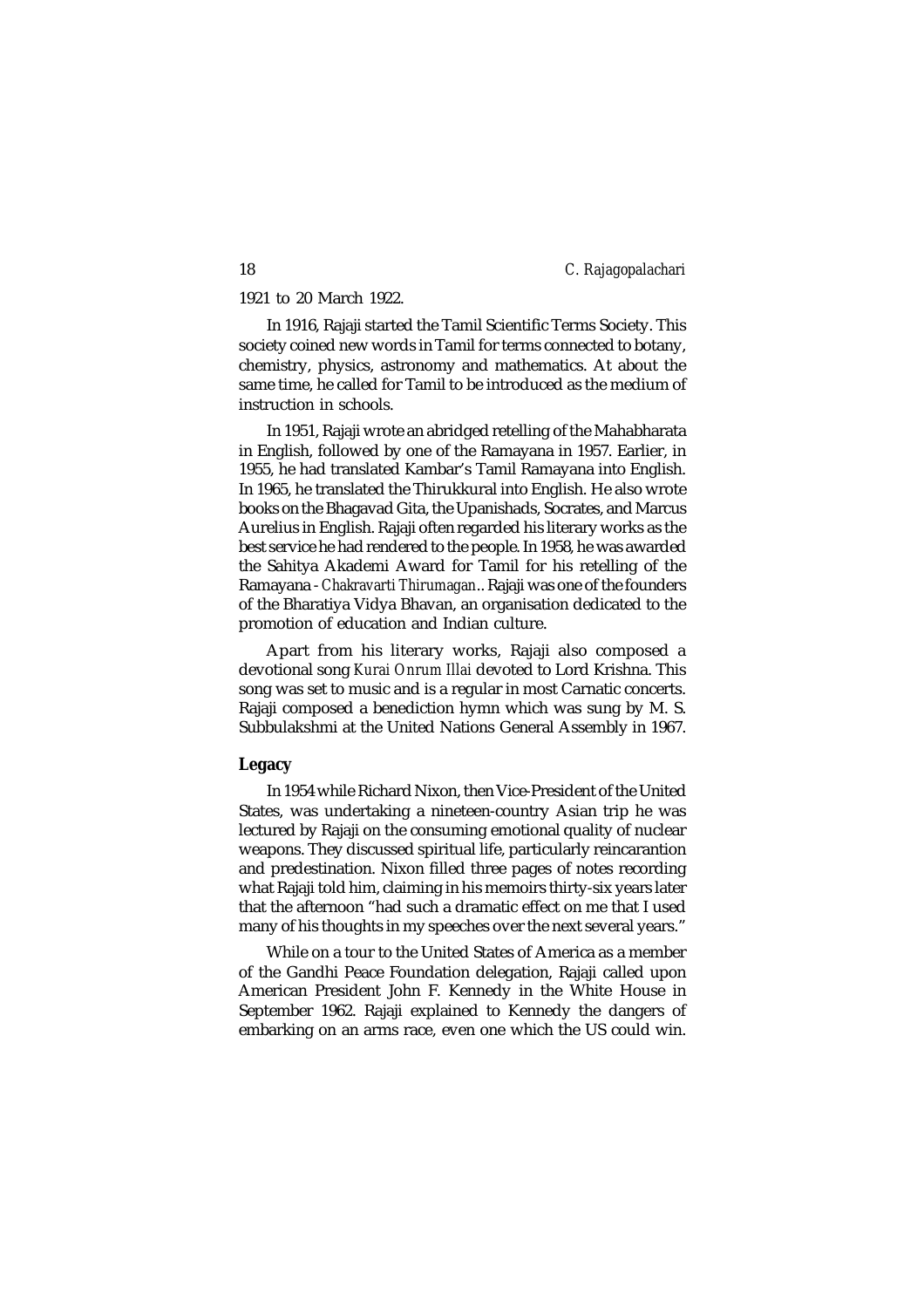1921 to 20 March 1922.

In 1916, Rajaji started the Tamil Scientific Terms Society. This society coined new words in Tamil for terms connected to botany, chemistry, physics, astronomy and mathematics. At about the same time, he called for Tamil to be introduced as the medium of instruction in schools.

In 1951, Rajaji wrote an abridged retelling of the Mahabharata in English, followed by one of the Ramayana in 1957. Earlier, in 1955, he had translated Kambar's Tamil Ramayana into English. In 1965, he translated the Thirukkural into English. He also wrote books on the Bhagavad Gita, the Upanishads, Socrates, and Marcus Aurelius in English. Rajaji often regarded his literary works as the best service he had rendered to the people. In 1958, he was awarded the Sahitya Akademi Award for Tamil for his retelling of the Ramayana - *Chakravarti Thirumagan*.. Rajaji was one of the founders of the Bharatiya Vidya Bhavan, an organisation dedicated to the promotion of education and Indian culture.

Apart from his literary works, Rajaji also composed a devotional song *Kurai Onrum Illai* devoted to Lord Krishna. This song was set to music and is a regular in most Carnatic concerts. Rajaji composed a benediction hymn which was sung by M. S. Subbulakshmi at the United Nations General Assembly in 1967.

#### **Legacy**

In 1954 while Richard Nixon, then Vice-President of the United States, was undertaking a nineteen-country Asian trip he was lectured by Rajaji on the consuming emotional quality of nuclear weapons. They discussed spiritual life, particularly reincarantion and predestination. Nixon filled three pages of notes recording what Rajaji told him, claiming in his memoirs thirty-six years later that the afternoon "had such a dramatic effect on me that I used many of his thoughts in my speeches over the next several years."

While on a tour to the United States of America as a member of the Gandhi Peace Foundation delegation, Rajaji called upon American President John F. Kennedy in the White House in September 1962. Rajaji explained to Kennedy the dangers of embarking on an arms race, even one which the US could win.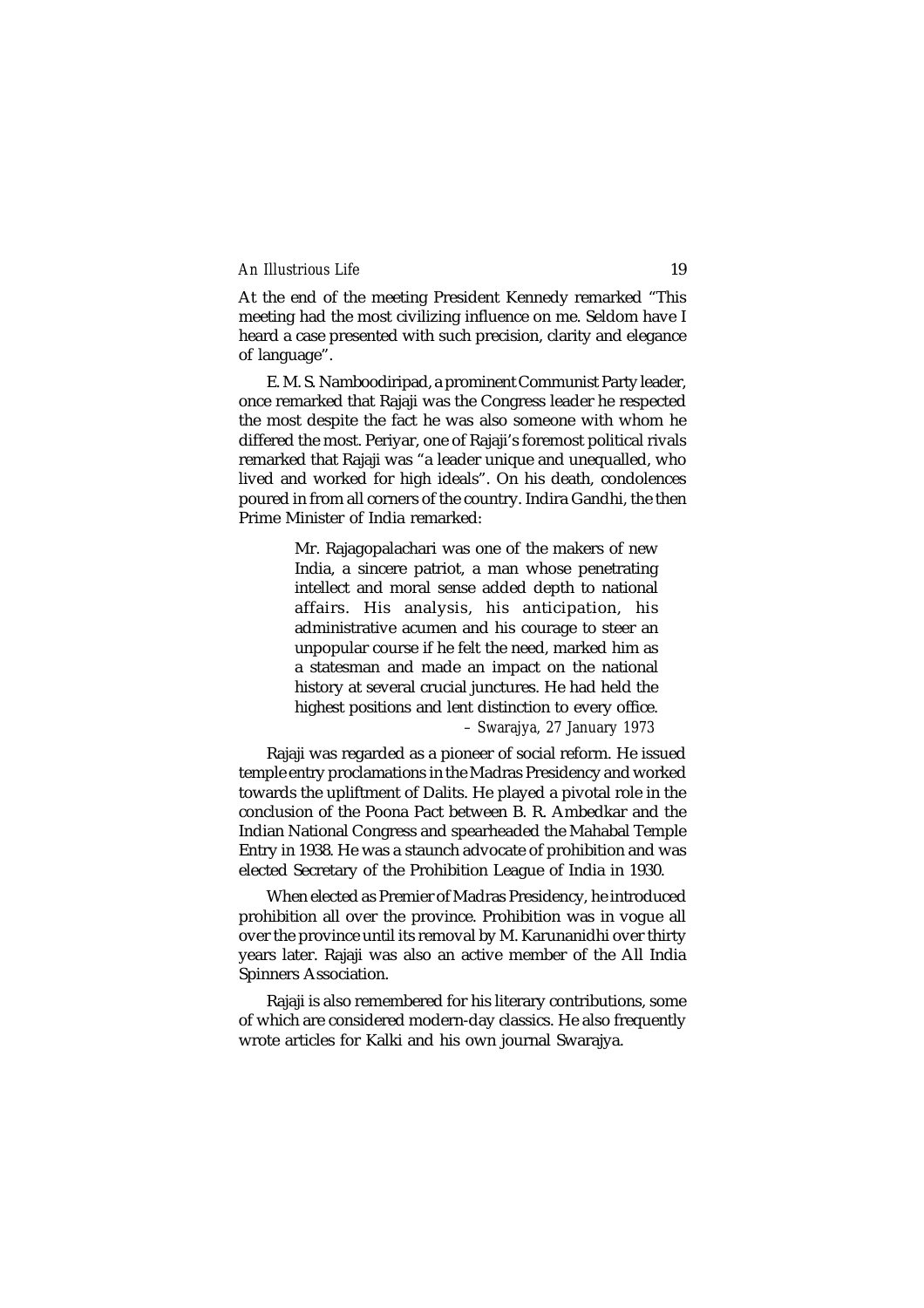At the end of the meeting President Kennedy remarked "This meeting had the most civilizing influence on me. Seldom have I heard a case presented with such precision, clarity and elegance of language".

E. M. S. Namboodiripad, a prominent Communist Party leader, once remarked that Rajaji was the Congress leader he respected the most despite the fact he was also someone with whom he differed the most. Periyar, one of Rajaji's foremost political rivals remarked that Rajaji was "a leader unique and unequalled, who lived and worked for high ideals". On his death, condolences poured in from all corners of the country. Indira Gandhi, the then Prime Minister of India remarked:

> Mr. Rajagopalachari was one of the makers of new India, a sincere patriot, a man whose penetrating intellect and moral sense added depth to national affairs. His analysis, his anticipation, his administrative acumen and his courage to steer an unpopular course if he felt the need, marked him as a statesman and made an impact on the national history at several crucial junctures. He had held the highest positions and lent distinction to every office. *– Swarajya, 27 January 1973*

Rajaji was regarded as a pioneer of social reform. He issued temple entry proclamations in the Madras Presidency and worked towards the upliftment of Dalits. He played a pivotal role in the conclusion of the Poona Pact between B. R. Ambedkar and the Indian National Congress and spearheaded the Mahabal Temple Entry in 1938. He was a staunch advocate of prohibition and was elected Secretary of the Prohibition League of India in 1930.

When elected as Premier of Madras Presidency, he introduced prohibition all over the province. Prohibition was in vogue all over the province until its removal by M. Karunanidhi over thirty years later. Rajaji was also an active member of the All India Spinners Association.

Rajaji is also remembered for his literary contributions, some of which are considered modern-day classics. He also frequently wrote articles for Kalki and his own journal Swarajya.